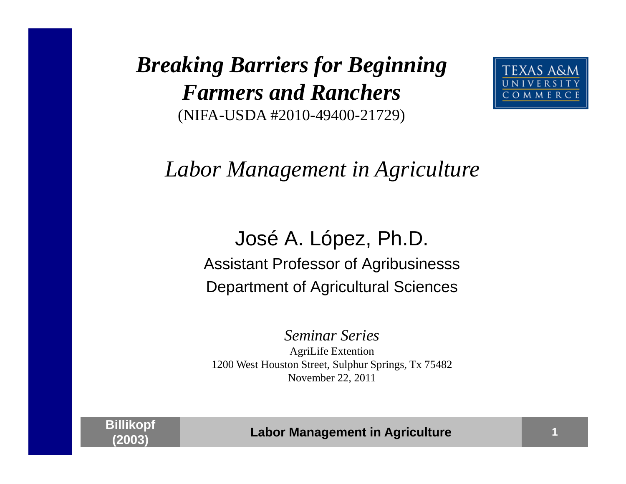*Breaking Barriers for Beginning Farmers and Ranchers*(NIFA-USDA #2010-49400-21729)



*Labor Management in Agriculture*

### José A. López, Ph.D.

Assistant Professor of Agribusinesss Department of Agricultural Sciences

*Seminar Series*AgriLife Extention 1200 West Houston Street, Sulphur Springs, Tx 75482 November 22, 2011



**(2003) Labor Management in Agriculture**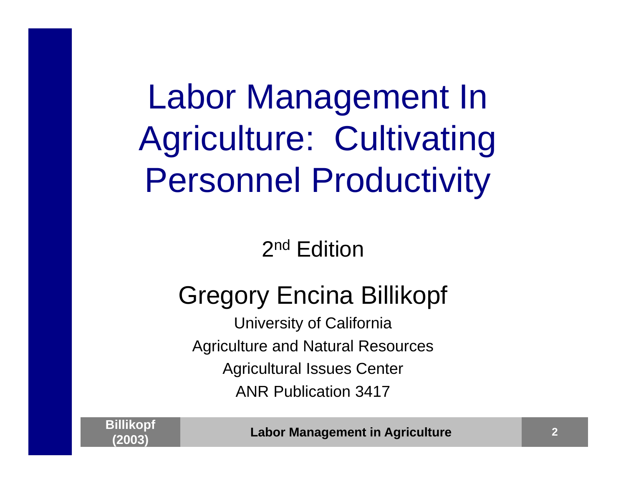## Labor Management In Agriculture: Cultivating Personnel Productivity

### 2n<sup>d</sup> Edition

## Gregory Encina Billikopf

University of California Agriculture and Natural Resources Agricultural Issues Center ANR Publication 3417



**(2003) Labor Management in Agriculture**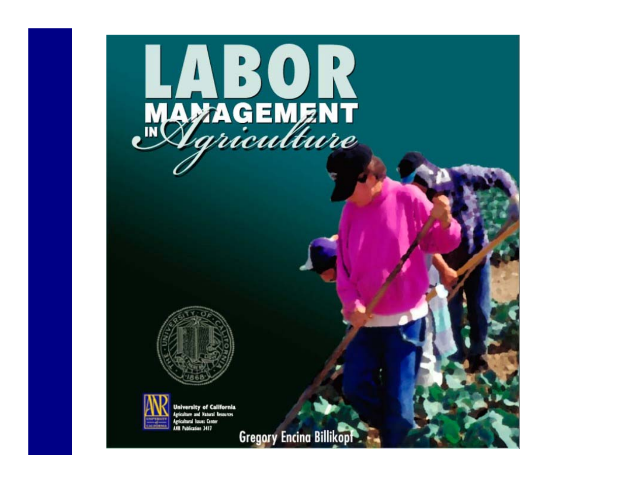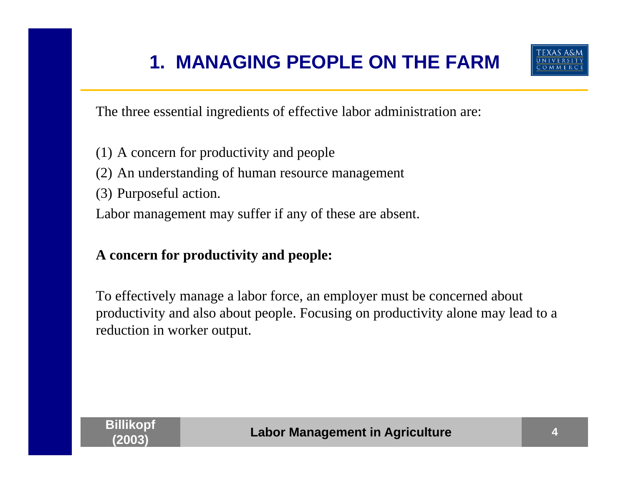### **1. MANAGING PEOPLE ON THE FARM**



The three essential ingredients of effective labor administration are:

- (1) A concern for productivity and people
- (2) An understanding of human resource management
- (3) Purposeful action.

Labor management may suffer if any of these are absent.

#### **A concern for productivity and people:**

To effectively manage a labor force, an employer must be concerned about productivity and also about people. Focusing on productivity alone may lead to a reduction in worker output.

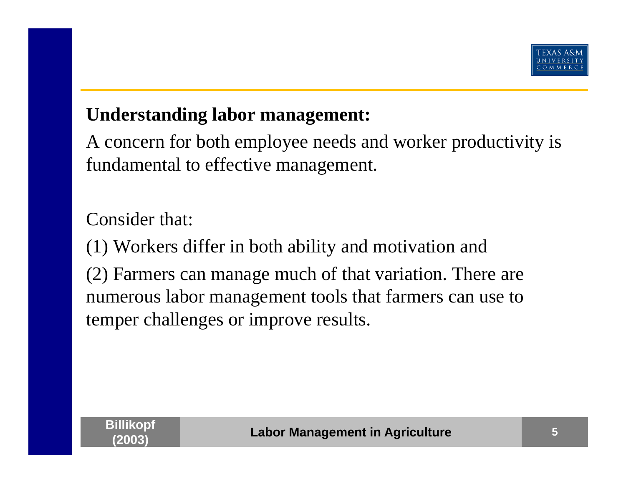

#### **Understanding labor management:**

A concern for both employee needs and worker productivity is fundamental to effective management.

Consider that:

(1) Workers differ in both ability and motivation and

(2) Farmers can manage much of that variation. There are numerous labor management tools that farmers can use to temper challenges or improve results.

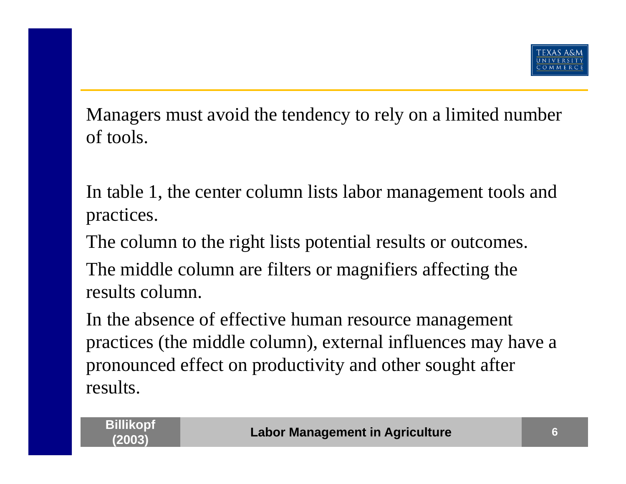Managers must avoid the tendency to rely on a limited number of tools.

In table 1, the center column lists labor management tools and practices.

The column to the right lists potential results or outcomes.

The middle column are filters or magnifiers affecting the results column.

In the absence of effective human resource management practices (the middle column), external influences may have a pronounced effect on productivity and other sought after results.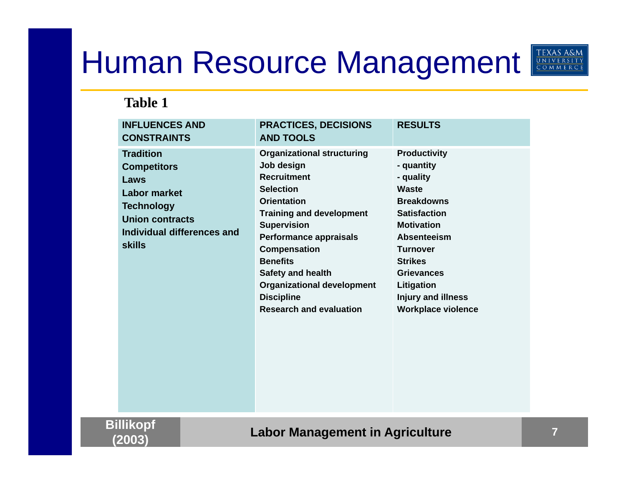## Human Resource Management



| <b>INFLUENCES AND</b><br><b>CONSTRAINTS</b><br><b>Tradition</b><br><b>Competitors</b><br>Laws<br><b>Labor market</b><br><b>Technology</b><br><b>Union contracts</b><br>Individual differences and<br><b>skills</b> | <b>PRACTICES, DECISIONS</b><br><b>AND TOOLS</b><br><b>Organizational structuring</b><br>Job design<br><b>Recruitment</b><br><b>Selection</b><br><b>Orientation</b><br><b>Training and development</b><br><b>Supervision</b><br>Performance appraisals | <b>RESULTS</b><br><b>Productivity</b><br>- quantity<br>- quality<br><b>Waste</b><br><b>Breakdowns</b><br><b>Satisfaction</b><br><b>Motivation</b><br><b>Absenteeism</b> |  |  |
|--------------------------------------------------------------------------------------------------------------------------------------------------------------------------------------------------------------------|-------------------------------------------------------------------------------------------------------------------------------------------------------------------------------------------------------------------------------------------------------|-------------------------------------------------------------------------------------------------------------------------------------------------------------------------|--|--|
|                                                                                                                                                                                                                    | <b>Compensation</b><br><b>Benefits</b><br>Safety and health<br><b>Organizational development</b><br><b>Discipline</b><br><b>Research and evaluation</b>                                                                                               | <b>Turnover</b><br><b>Strikes</b><br><b>Grievances</b><br>Litigation<br><b>Injury and illness</b><br>Workplace violence                                                 |  |  |
| <b>Billikopf</b><br><b>Labor Management in Agriculture</b><br>(2003)                                                                                                                                               |                                                                                                                                                                                                                                                       |                                                                                                                                                                         |  |  |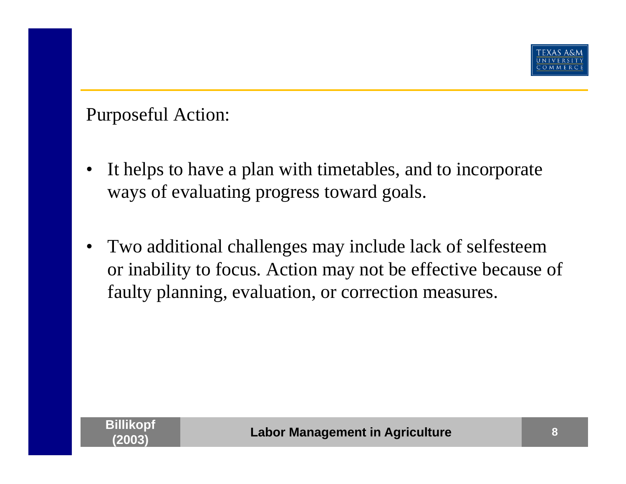

Purposeful Action:

- • It helps to have a plan with timetables, and to incorporate ways of evaluating progress toward goals.
- • Two additional challenges may include lack of selfesteem or inability to focus. Action may not be effective because of faulty planning, evaluation, or correction measures.

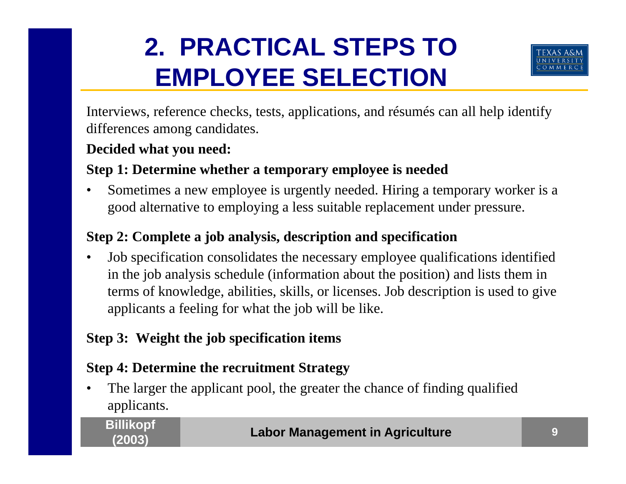## **2. PRACTICAL STEPS TO EMPLOYEE SELECTION**



Interviews, reference checks, tests, applications, and résumés can all help identify differences among candidates.

#### **Decided what you need:**

#### **Step 1: Determine whether a temporary employee is needed**

• Sometimes a new employee is urgently needed. Hiring a temporary worker is a good alternative to employing a less suitable replacement under pressure.

#### **Step 2: Complete a job analysis, description and specification**

• Job specification consolidates the necessary employee qualifications identified in the job analysis schedule (information about the position) and lists them in terms of knowledge, abilities, skills, or licenses. Job description is used to give applicants a feeling for what the job will be like.

#### **Step 3: Weight the job specification items**

#### **Step 4: Determine the recruitment Strategy**

• The larger the applicant pool, the greater the chance of finding qualified applicants.

| <b>Billikopf</b> |  |
|------------------|--|
| (2003)           |  |

#### **(2003) Labor Management in Agriculture**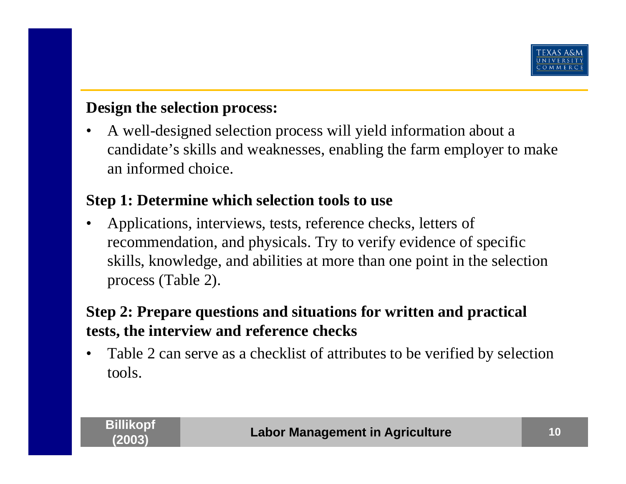

#### **Design the selection process:**

• A well-designed selection process will yield information about a candidate's skills and weaknesses, enabling the farm employer to make an informed choice.

#### **Step 1: Determine which selection tools to use**

• Applications, interviews, tests, reference checks, letters of recommendation, and physicals. Try to verify evidence of specific skills, knowledge, and abilities at more than one point in the selection process (Table 2).

#### **Step 2: Prepare questions and situations for written and practical tests, the interview and reference checks**

• Table 2 can serve as a checklist of attributes to be verified by selection tools.

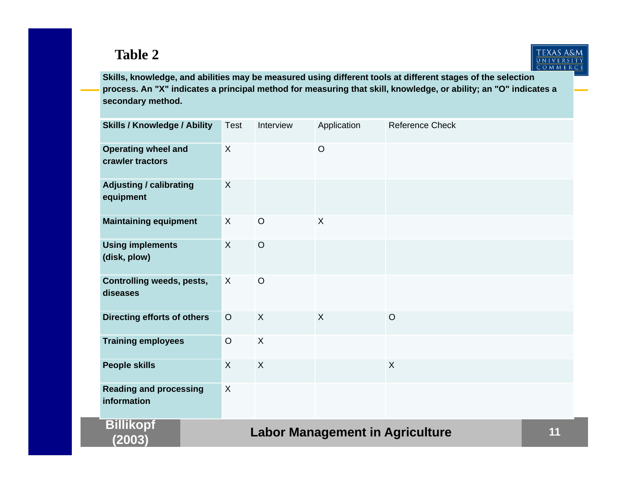#### **Table 2**



**Skills, knowledge, and abilities may be measured using different tools at different stages of the selection process. An "X" indicates a principal method for measuring that skill, knowledge, or ability; an "O" indicates a secondary method.**

| <b>Skills / Knowledge / Ability</b>                                  | <b>Test</b>  | Interview        | Application | <b>Reference Check</b> |    |
|----------------------------------------------------------------------|--------------|------------------|-------------|------------------------|----|
| <b>Operating wheel and</b><br>crawler tractors                       | $\sf X$      |                  | $\circ$     |                        |    |
| <b>Adjusting / calibrating</b><br>equipment                          | $\times$     |                  |             |                        |    |
| <b>Maintaining equipment</b>                                         | X            | $\circ$          | X           |                        |    |
| <b>Using implements</b><br>(disk, plow)                              | $\mathsf{X}$ | $\circ$          |             |                        |    |
| <b>Controlling weeds, pests,</b><br>diseases                         | X            | $\circ$          |             |                        |    |
| Directing efforts of others                                          | $\circ$      | $\sf X$          | $\sf X$     | $\circ$                |    |
| <b>Training employees</b>                                            | $\circ$      | $\sf X$          |             |                        |    |
| <b>People skills</b>                                                 | $\mathsf X$  | $\boldsymbol{X}$ |             | X                      |    |
| <b>Reading and processing</b><br>information                         | $\mathsf X$  |                  |             |                        |    |
| <b>Billikopf</b><br><b>Labor Management in Agriculture</b><br>(2003) |              |                  |             |                        | 11 |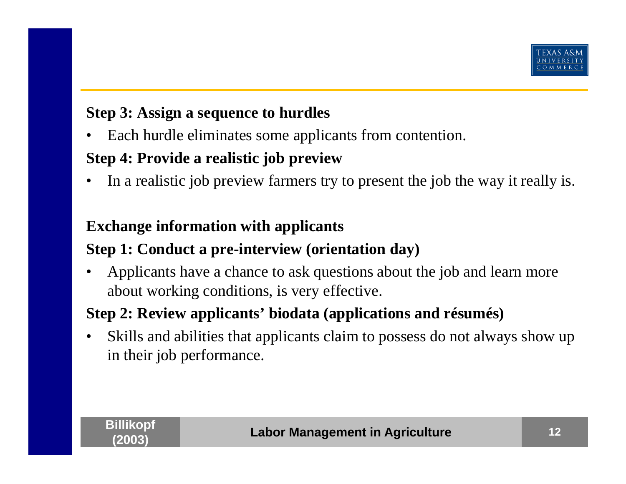

#### **Step 3: Assign a sequence to hurdles**

•Each hurdle eliminates some applicants from contention.

#### **Step 4: Provide a realistic job preview**

•In a realistic job preview farmers try to present the job the way it really is.

#### **Exchange information with applicants**

#### **Step 1: Conduct a pre-interview (orientation day)**

• Applicants have a chance to ask questions about the job and learn more about working conditions, is very effective.

#### **Step 2: Review applicants' biodata (applications and résumés)**

• Skills and abilities that applicants claim to possess do not always show up in their job performance.

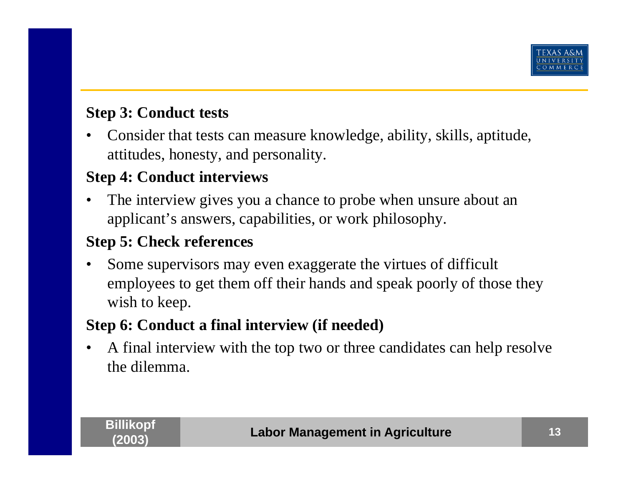

#### **Step 3: Conduct tests**

• Consider that tests can measure knowledge, ability, skills, aptitude, attitudes, honesty, and personality.

#### **Step 4: Conduct interviews**

• The interview gives you a chance to probe when unsure about an applicant's answers, capabilities, or work philosophy.

#### **Step 5: Check references**

• Some supervisors may even exaggerate the virtues of difficult employees to get them off their hands and speak poorly of those they wish to keep.

#### **Step 6: Conduct a final interview (if needed)**

• A final interview with the top two or three candidates can help resolve the dilemma.

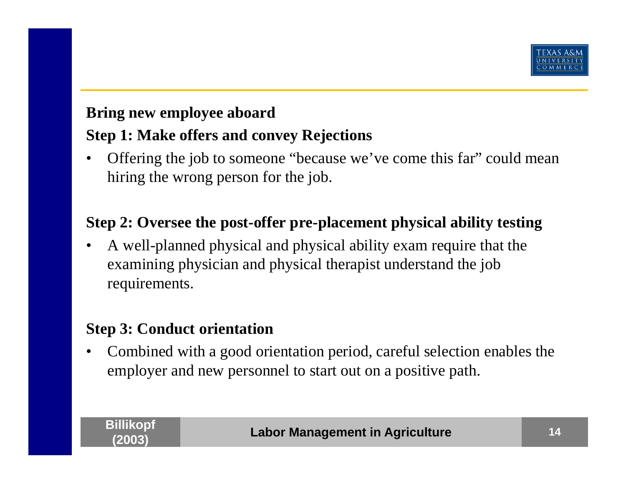

#### **Bring new employee aboard Step 1: Make offers and convey Rejections**

• Offering the job to someone "because we've come this far" could mean hiring the wrong person for the job.

#### **Step 2: Oversee the post-offer pre-placement physical ability testing**

• A well-planned physical and physical ability exam require that the examining physician and physical therapist understand the job requirements.

#### **Step 3: Conduct orientation**

• Combined with a good orientation period, careful selection enables the employer and new personnel to start out on a positive path.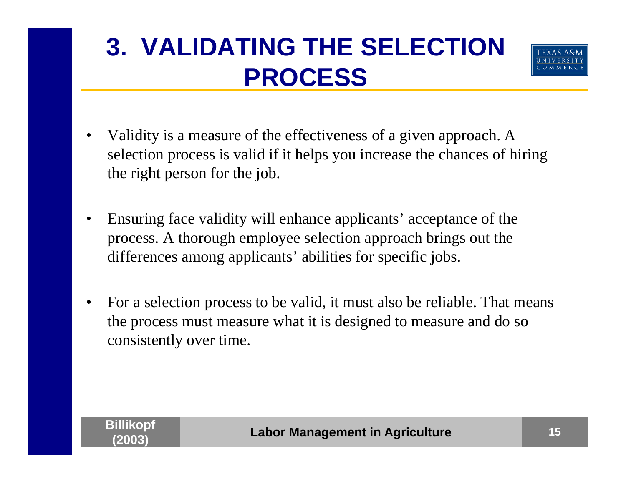## **3. VALIDATING THE SELECTION PROCESS**



- • Validity is a measure of the effectiveness of a given approach. A selection process is valid if it helps you increase the chances of hiring the right person for the job.
- • Ensuring face validity will enhance applicants' acceptance of the process. A thorough employee selection approach brings out the differences among applicants' abilities for specific jobs.
- • For a selection process to be valid, it must also be reliable. That means the process must measure what it is designed to measure and do so consistently over time.

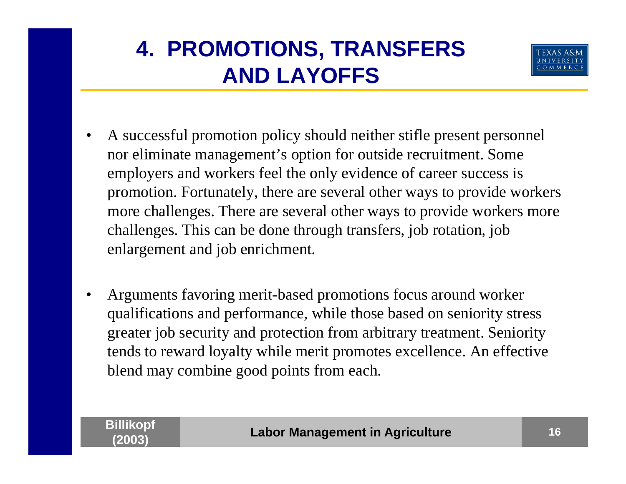### **4. PROMOTIONS, TRANSFERS AND LAYOFFS**



- • A successful promotion policy should neither stifle present personnel nor eliminate management's option for outside recruitment. Some employers and workers feel the only evidence of career success is promotion. Fortunately, there are several other ways to provide workers more challenges. There are several other ways to provide workers more challenges. This can be done through transfers, job rotation, job enlargement and job enrichment.
- • Arguments favoring merit-based promotions focus around worker qualifications and performance, while those based on seniority stress greater job security and protection from arbitrary treatment. Seniority tends to reward loyalty while merit promotes excellence. An effective blend may combine good points from each.

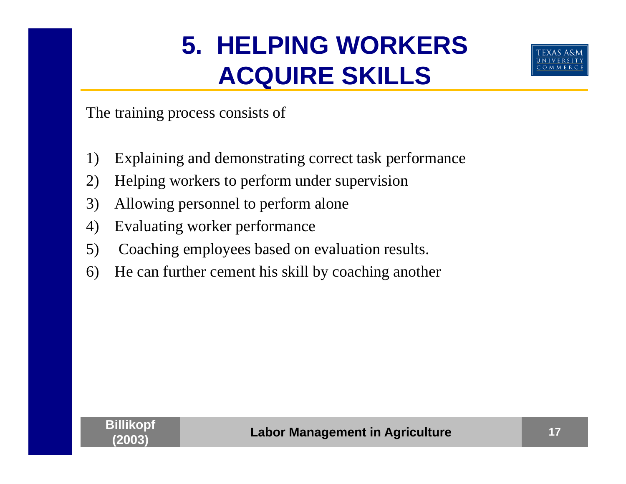## **5. HELPING WORKERS ACQUIRE SKILLS**



The training process consists of

- 1) Explaining and demonstrating correct task performance
- 2) Helping workers to perform under supervision
- 3) Allowing personnel to perform alone
- 4) Evaluating worker performance
- 5) Coaching employees based on evaluation results.
- 6) He can further cement his skill by coaching another

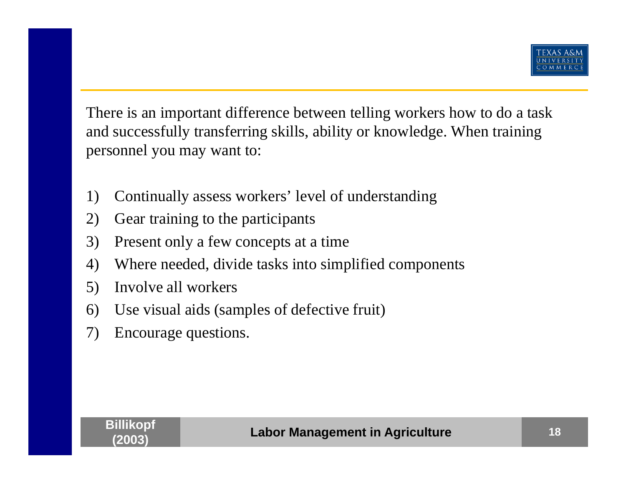

There is an important difference between telling workers how to do a task and successfully transferring skills, ability or knowledge. When training personnel you may want to:

- 1) Continually assess workers' level of understanding
- 2) Gear training to the participants
- 3) Present only a few concepts at a time
- 4) Where needed, divide tasks into simplified components
- 5) Involve all workers
- 6) Use visual aids (samples of defective fruit)
- 7) Encourage questions.

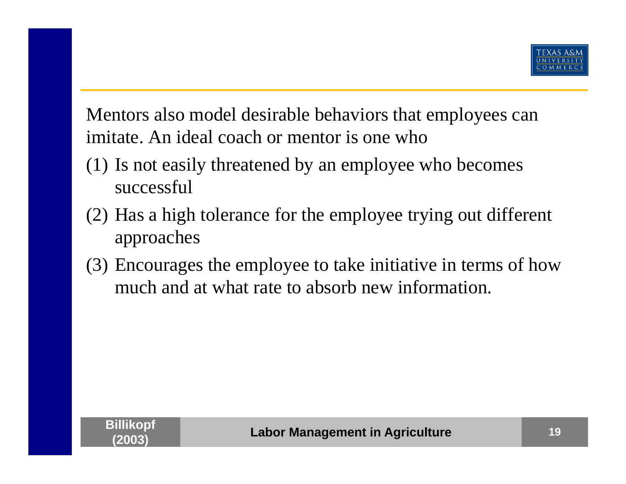

Mentors also model desirable behaviors that employees can imitate. An ideal coach or mentor is one who

- (1) Is not easily threatened by an employee who becomes successful
- (2) Has a high tolerance for the employee trying out different approaches
- (3) Encourages the employee to take initiative in terms of how much and at what rate to absorb new information.

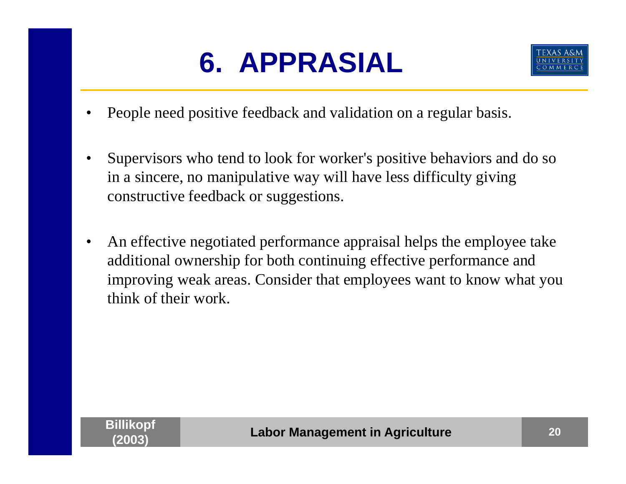## **6. APPRASIAL**



- •People need positive feedback and validation on a regular basis.
- • Supervisors who tend to look for worker's positive behaviors and do so in a sincere, no manipulative way will have less difficulty giving constructive feedback or suggestions.
- • An effective negotiated performance appraisal helps the employee take additional ownership for both continuing effective performance and improving weak areas. Consider that employees want to know what you think of their work.

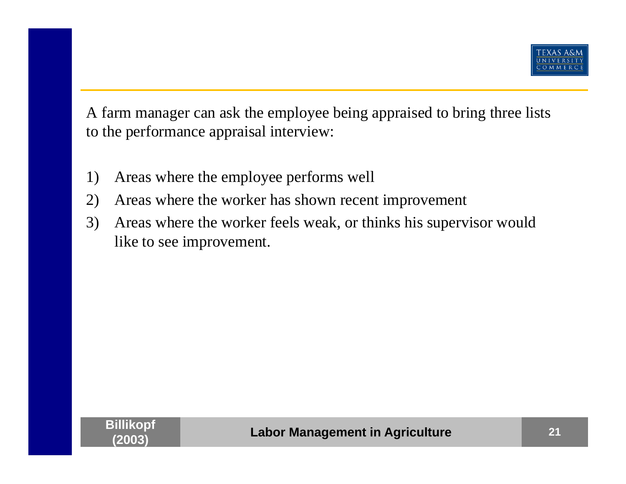

A farm manager can ask the employee being appraised to bring three lists to the performance appraisal interview:

- 1) Areas where the employee performs well
- 2) Areas where the worker has shown recent improvement
- 3) Areas where the worker feels weak, or thinks his supervisor would like to see improvement.

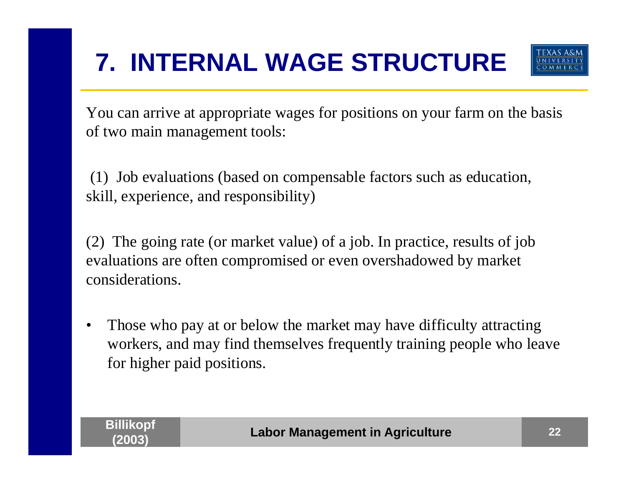## **7. INTERNAL WAGE STRUCTURE**



You can arrive at appropriate wages for positions on your farm on the basis of two main management tools:

(1) Job evaluations (based on compensable factors such as education, skill, experience, and responsibility)

(2) The going rate (or market value) of a job. In practice, results of job evaluations are often compromised or even overshadowed by market considerations.

• Those who pay at or below the market may have difficulty attracting workers, and may find themselves frequently training people who leave for higher paid positions.

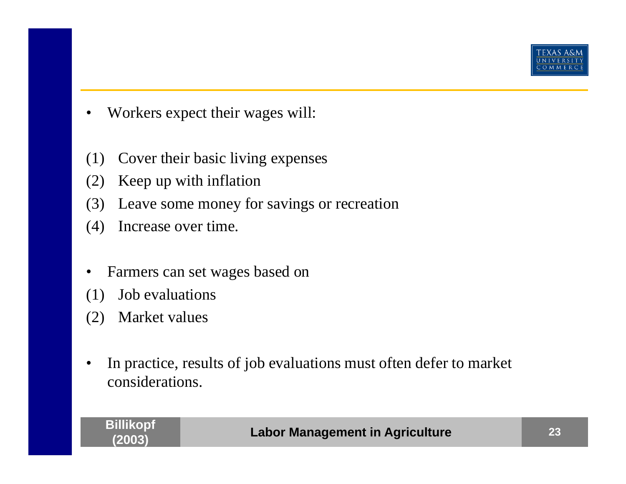

- •Workers expect their wages will:
- (1) Cover their basic living expenses
- (2) Keep up with inflation
- (3) Leave some money for savings or recreation
- (4) Increase over time.
- •Farmers can set wages based on
- (1) Job evaluations
- (2) Market values

**Billikopf** 

• In practice, results of job evaluations must often defer to market considerations.

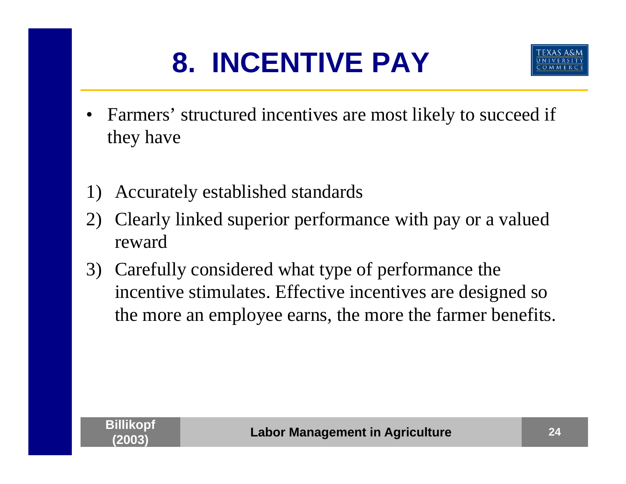## **8. INCENTIVE PAY**



- • Farmers' structured incentives are most likely to succeed if they have
- 1) Accurately established standards
- 2) Clearly linked superior performance with pay or a valued reward
- 3) Carefully considered what type of performance the incentive stimulates. Effective incentives are designed so the more an employee earns, the more the farmer benefits.

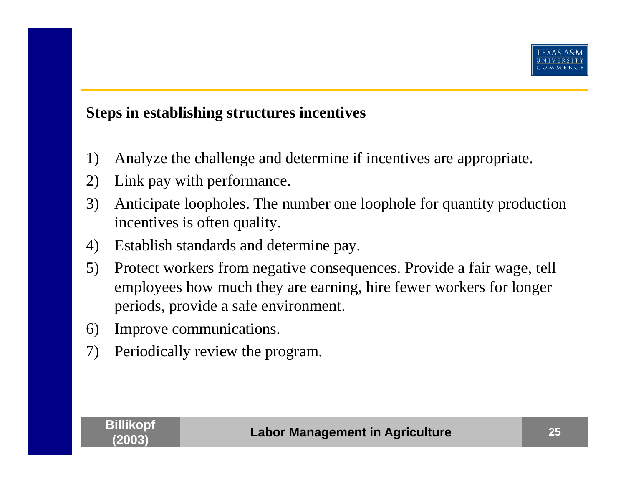

#### **Steps in establishing structures incentives**

- 1) Analyze the challenge and determine if incentives are appropriate.
- 2) Link pay with performance.
- 3) Anticipate loopholes. The number one loophole for quantity production incentives is often quality.
- 4) Establish standards and determine pay.
- 5) Protect workers from negative consequences. Provide a fair wage, tell employees how much they are earning, hire fewer workers for longer periods, provide a safe environment.
- 6) Improve communications.
- 7) Periodically review the program.

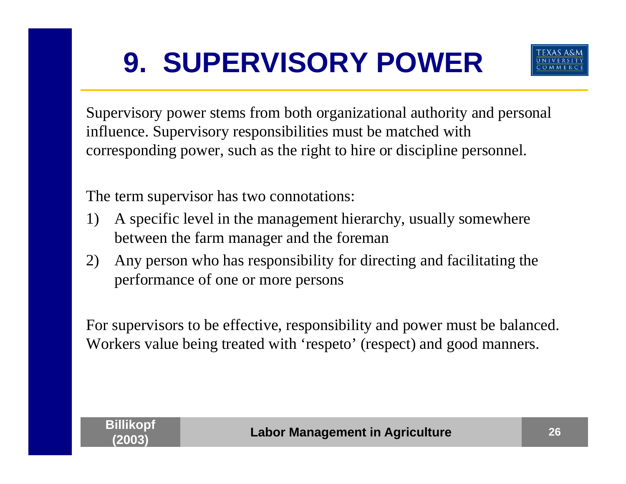## **9. SUPERVISORY POWER**



Supervisory power stems from both organizational authority and personal influence. Supervisory responsibilities must be matched with corresponding power, such as the right to hire or discipline personnel.

The term supervisor has two connotations:

- 1) A specific level in the management hierarchy, usually somewhere between the farm manager and the foreman
- 2) Any person who has responsibility for directing and facilitating the performance of one or more persons

For supervisors to be effective, responsibility and power must be balanced. Workers value being treated with 'respeto' (respect) and good manners.

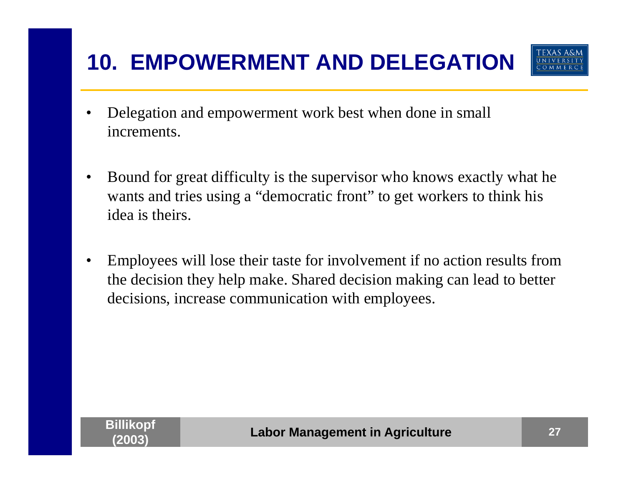### **10. EMPOWERMENT AND DELEGATION**



- • Delegation and empowerment work best when done in small increments.
- • Bound for great difficulty is the supervisor who knows exactly what he wants and tries using a "democratic front" to get workers to think his idea is theirs.
- • Employees will lose their taste for involvement if no action results from the decision they help make. Shared decision making can lead to better decisions, increase communication with employees.

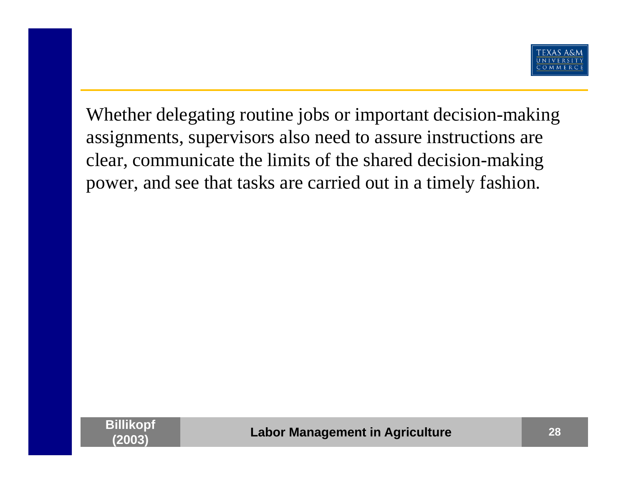

Whether delegating routine jobs or important decision-making assignments, supervisors also need to assure instructions are clear, communicate the limits of the shared decision-making power, and see that tasks are carried out in a timely fashion.

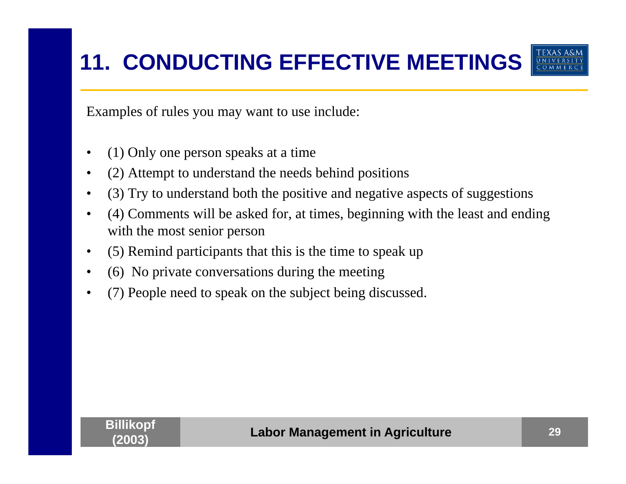### **11. CONDUCTING EFFECTIVE MEETINGS**



Examples of rules you may want to use include:

- •(1) Only one person speaks at a time
- $\bullet$ (2) Attempt to understand the needs behind positions
- •(3) Try to understand both the positive and negative aspects of suggestions
- • (4) Comments will be asked for, at times, beginning with the least and ending with the most senior person
- •(5) Remind participants that this is the time to speak up
- •(6) No private conversations during the meeting
- •(7) People need to speak on the subject being discussed.

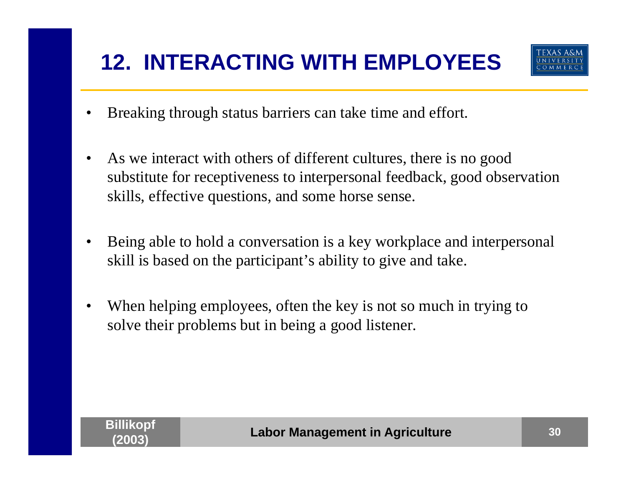### **12. INTERACTING WITH EMPLOYEES**



- •Breaking through status barriers can take time and effort.
- • As we interact with others of different cultures, there is no good substitute for receptiveness to interpersonal feedback, good observation skills, effective questions, and some horse sense.
- • Being able to hold a conversation is a key workplace and interpersonal skill is based on the participant's ability to give and take.
- • When helping employees, often the key is not so much in trying to solve their problems but in being a good listener.

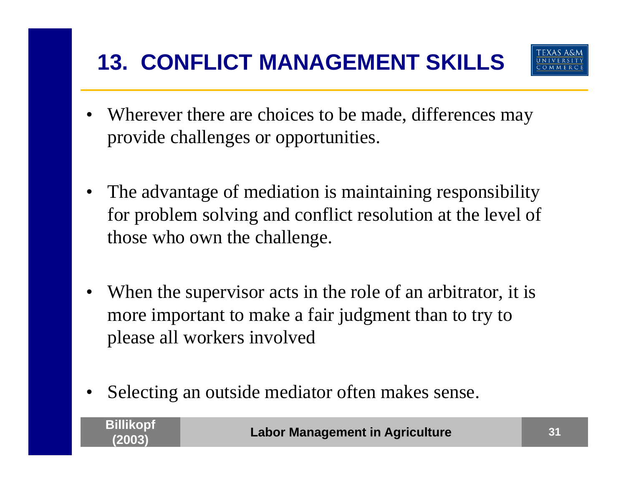### **13. CONFLICT MANAGEMENT SKILLS**



- • Wherever there are choices to be made, differences may provide challenges or opportunities.
- • The advantage of mediation is maintaining responsibility for problem solving and conflict resolution at the level of those who own the challenge.
- •When the supervisor acts in the role of an arbitrator, it is more important to make a fair judgment than to try to please all workers involved
- •Selecting an outside mediator often makes sense.

**Billikopf** 

**(2003) Labor Management in Agriculture <sup>31</sup>**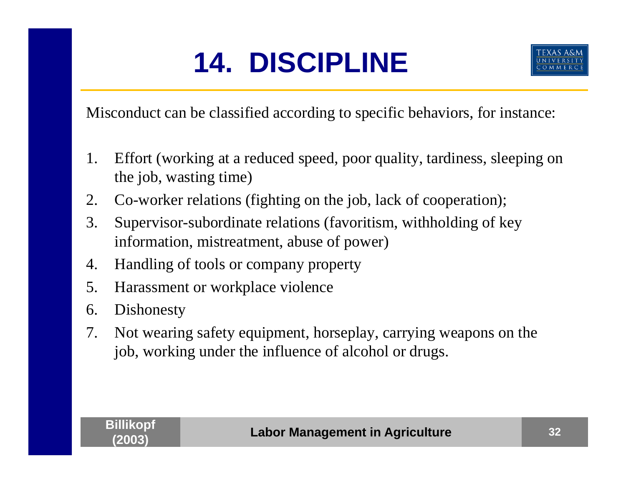## **14. DISCIPLINE**



Misconduct can be classified according to specific behaviors, for instance:

- 1. Effort (working at a reduced speed, poor quality, tardiness, sleeping on the job, wasting time)
- 2. Co-worker relations (fighting on the job, lack of cooperation);
- 3. Supervisor-subordinate relations (favoritism, withholding of key information, mistreatment, abuse of power)
- 4. Handling of tools or company property
- 5. Harassment or workplace violence
- 6. Dishonesty
- 7. Not wearing safety equipment, horseplay, carrying weapons on the job, working under the influence of alcohol or drugs.

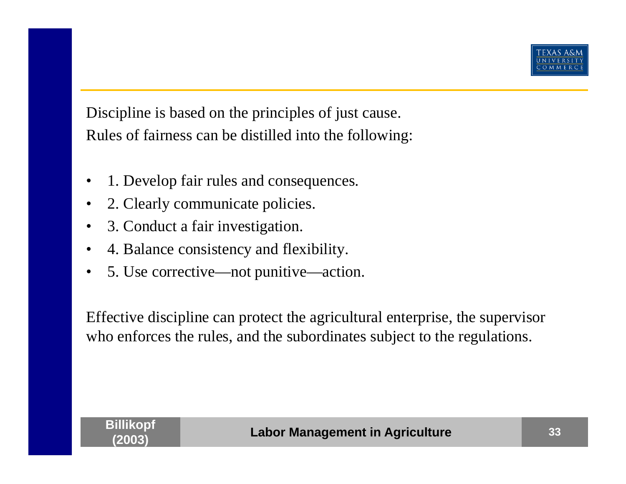

Discipline is based on the principles of just cause. Rules of fairness can be distilled into the following:

- •1. Develop fair rules and consequences.
- •2. Clearly communicate policies.
- •3. Conduct a fair investigation.
- •4. Balance consistency and flexibility.
- •5. Use corrective—not punitive—action.

Effective discipline can protect the agricultural enterprise, the supervisor who enforces the rules, and the subordinates subject to the regulations.

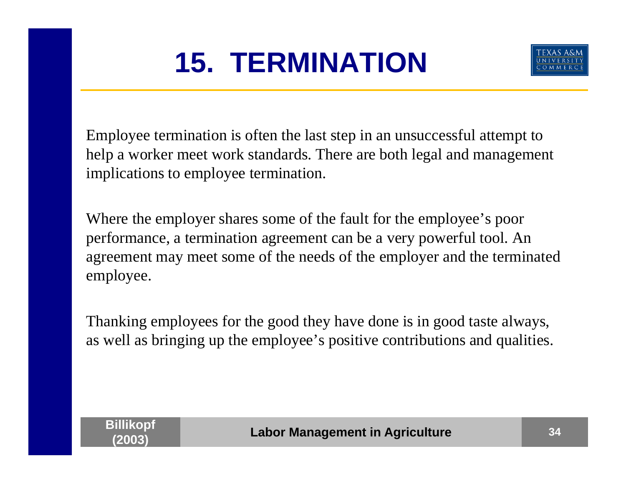## **15. TERMINATION**



Employee termination is often the last step in an unsuccessful attempt to help a worker meet work standards. There are both legal and management implications to employee termination.

Where the employer shares some of the fault for the employee's poor performance, a termination agreement can be a very powerful tool. An agreement may meet some of the needs of the employer and the terminated employee.

Thanking employees for the good they have done is in good taste always, as well as bringing up the employee's positive contributions and qualities.

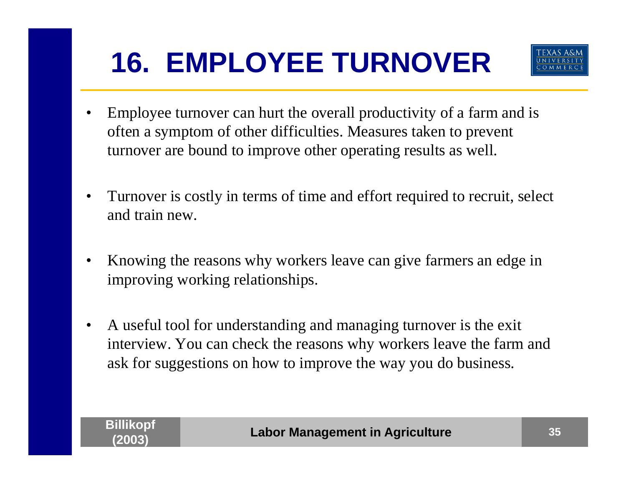## **16. EMPLOYEE TURNOVER**



- • Employee turnover can hurt the overall productivity of a farm and is often a symptom of other difficulties. Measures taken to prevent turnover are bound to improve other operating results as well.
- • Turnover is costly in terms of time and effort required to recruit, select and train new.
- • Knowing the reasons why workers leave can give farmers an edge in improving working relationships.
- • A useful tool for understanding and managing turnover is the exit interview. You can check the reasons why workers leave the farm and ask for suggestions on how to improve the way you do business.

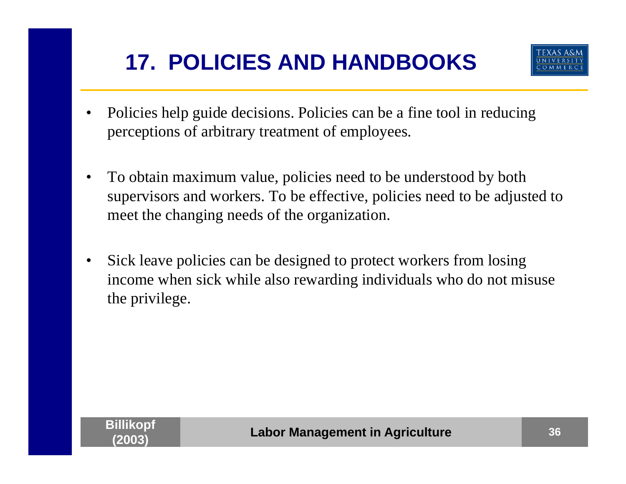### **17. POLICIES AND HANDBOOKS**



- • Policies help guide decisions. Policies can be a fine tool in reducing perceptions of arbitrary treatment of employees.
- • To obtain maximum value, policies need to be understood by both supervisors and workers. To be effective, policies need to be adjusted to meet the changing needs of the organization.
- • Sick leave policies can be designed to protect workers from losing income when sick while also rewarding individuals who do not misuse the privilege.

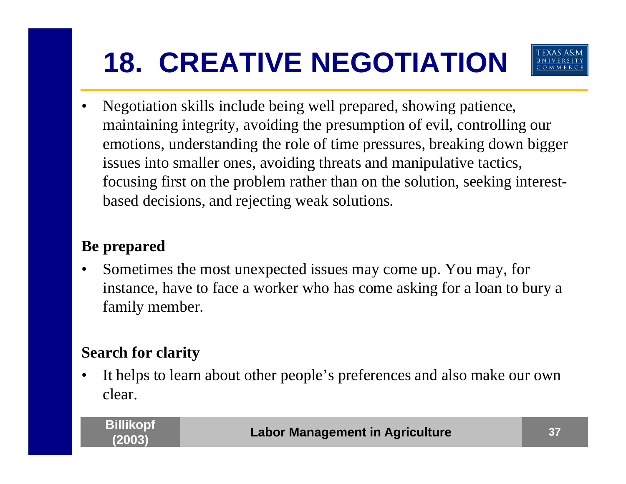## **18. CREATIVE NEGOTIATION**



• Negotiation skills include being well prepared, showing patience, maintaining integrity, avoiding the presumption of evil, controlling our emotions, understanding the role of time pressures, breaking down bigger issues into smaller ones, avoiding threats and manipulative tactics, focusing first on the problem rather than on the solution, seeking interestbased decisions, and rejecting weak solutions.

#### **Be prepared**

 $\bullet$  Sometimes the most unexpected issues may come up. You may, for instance, have to face a worker who has come asking for a loan to bury a family member.

#### **Search for clarity**

• It helps to learn about other people's preferences and also make our own clear.



#### **(2003) Labor Management in Agriculture <sup>37</sup>**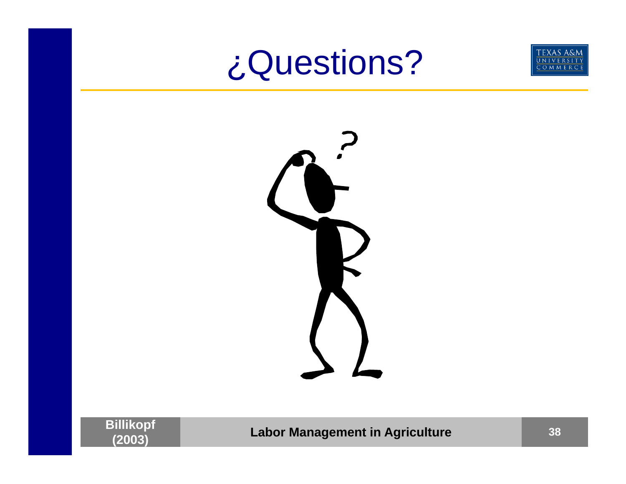## ¿Questions?







**(2003) Labor Management in Agriculture <sup>38</sup>**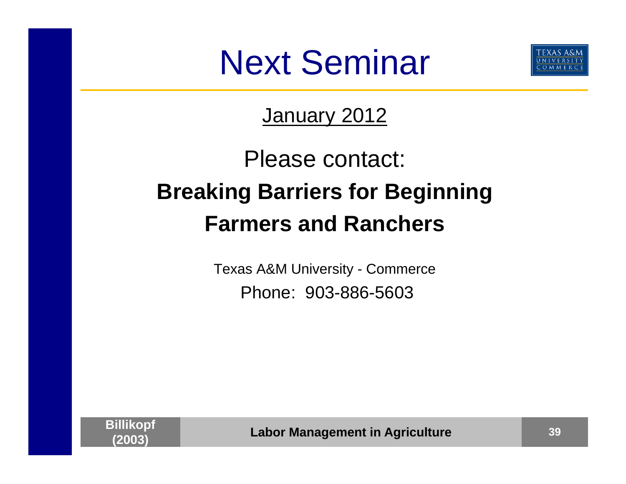



January 2012

### Please contact: **Breaking Barriers for Beginning Farmers and Ranchers**

Texas A&M University - Commerce Phone: 903-886-5603